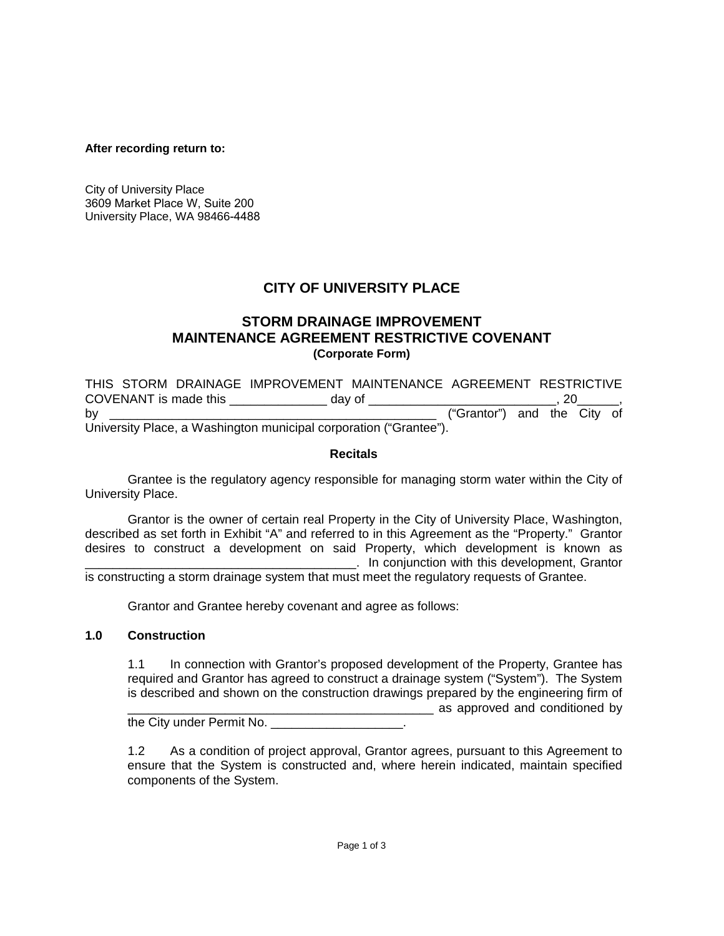#### **After recording return to:**

City of University Place 3609 Market Place W, Suite 200 University Place, WA 98466-4488

# **CITY OF UNIVERSITY PLACE**

# **STORM DRAINAGE IMPROVEMENT MAINTENANCE AGREEMENT RESTRICTIVE COVENANT (Corporate Form)**

THIS STORM DRAINAGE IMPROVEMENT MAINTENANCE AGREEMENT RESTRICTIVE COVENANT is made this \_\_\_\_\_\_\_\_\_\_\_\_\_\_ day of \_\_\_\_\_\_\_\_\_\_\_\_\_\_\_\_\_\_\_\_\_\_\_\_\_\_\_, 20\_\_\_\_\_\_, by the contract of the contract of the contract of the contract of the contract of the City of the City of the City of the City of the City of the City of the City of the City of the City of the City of the City of the Cit University Place, a Washington municipal corporation ("Grantee").

### **Recitals**

Grantee is the regulatory agency responsible for managing storm water within the City of University Place.

Grantor is the owner of certain real Property in the City of University Place, Washington, described as set forth in Exhibit "A" and referred to in this Agreement as the "Property." Grantor desires to construct a development on said Property, which development is known as \_\_\_\_\_\_\_\_\_\_\_\_\_\_\_\_\_\_\_\_\_\_\_\_\_\_\_\_\_\_\_\_\_\_\_\_\_\_\_. In conjunction with this development, Grantor

is constructing a storm drainage system that must meet the regulatory requests of Grantee.

Grantor and Grantee hereby covenant and agree as follows:

### **1.0 Construction**

1.1 In connection with Grantor's proposed development of the Property, Grantee has required and Grantor has agreed to construct a drainage system ("System"). The System is described and shown on the construction drawings prepared by the engineering firm of \_\_\_\_\_\_\_\_\_\_\_\_\_\_\_\_\_\_\_\_\_\_\_\_\_\_\_\_\_\_\_\_\_\_\_\_\_\_\_\_\_\_\_\_ as approved and conditioned by the City under Permit No. \_\_\_\_\_\_\_\_\_\_\_\_\_\_\_\_\_\_\_\_.

1.2 As a condition of project approval, Grantor agrees, pursuant to this Agreement to ensure that the System is constructed and, where herein indicated, maintain specified components of the System.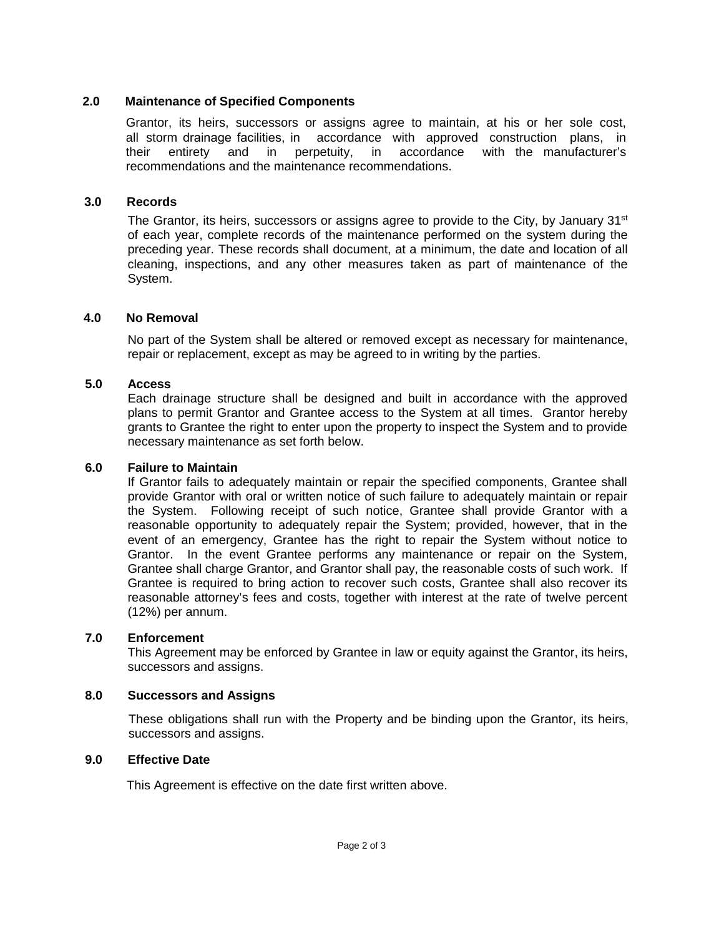# **2.0 Maintenance of Specified Components**

Grantor, its heirs, successors or assigns agree to maintain, at his or her sole cost, all storm drainage facilities, in accordance with approved construction plans, in their entirety and in perpetuity, in accordance with the manufacturer's recommendations and the maintenance recommendations.

## **3.0 Records**

The Grantor, its heirs, successors or assigns agree to provide to the City, by January 31<sup>st</sup> of each year, complete records of the maintenance performed on the system during the preceding year. These records shall document, at a minimum, the date and location of all cleaning, inspections, and any other measures taken as part of maintenance of the System.

### **4.0 No Removal**

No part of the System shall be altered or removed except as necessary for maintenance, repair or replacement, except as may be agreed to in writing by the parties.

### **5.0 Access**

Each drainage structure shall be designed and built in accordance with the approved plans to permit Grantor and Grantee access to the System at all times. Grantor hereby grants to Grantee the right to enter upon the property to inspect the System and to provide necessary maintenance as set forth below.

#### **6.0 Failure to Maintain**

If Grantor fails to adequately maintain or repair the specified components, Grantee shall provide Grantor with oral or written notice of such failure to adequately maintain or repair the System. Following receipt of such notice, Grantee shall provide Grantor with a reasonable opportunity to adequately repair the System; provided, however, that in the event of an emergency, Grantee has the right to repair the System without notice to Grantor. In the event Grantee performs any maintenance or repair on the System, Grantee shall charge Grantor, and Grantor shall pay, the reasonable costs of such work. If Grantee is required to bring action to recover such costs, Grantee shall also recover its reasonable attorney's fees and costs, together with interest at the rate of twelve percent (12%) per annum.

#### **7.0 Enforcement**

This Agreement may be enforced by Grantee in law or equity against the Grantor, its heirs, successors and assigns.

### **8.0 Successors and Assigns**

These obligations shall run with the Property and be binding upon the Grantor, its heirs, successors and assigns.

#### **9.0 Effective Date**

This Agreement is effective on the date first written above.